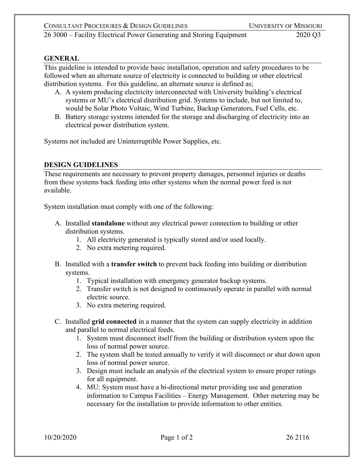26 3000 – Facility Electrical Power Generating and Storing Equipment 2020 Q3

## **GENERAL**

This guideline is intended to provide basic installation, operation and safety procedures to be followed when an alternate source of electricity is connected to building or other electrical distribution systems. For this guideline, an alternate source is defined as;

- A. A system producing electricity interconnected with University building's electrical systems or MU's electrical distribution grid. Systems to include, but not limited to, would be Solar Photo Voltaic, Wind Turbine, Backup Generators, Fuel Cells, etc.
- B. Battery storage systems intended for the storage and discharging of electricity into an electrical power distribution system.

Systems not included are Uninterruptible Power Supplies, etc.

## **DESIGN GUIDELINES**

These requirements are necessary to prevent property damages, personnel injuries or deaths from these systems back feeding into other systems when the normal power feed is not available.

System installation must comply with one of the following:

- A. Installed **standalone** without any electrical power connection to building or other distribution systems.
	- 1. All electricity generated is typically stored and/or used locally.
	- 2. No extra metering required.
- B. Installed with a **transfer switch** to prevent back feeding into building or distribution systems.
	- 1. Typical installation with emergency generator backup systems.
	- 2. Transfer switch is not designed to continuously operate in parallel with normal electric source.
	- 3. No extra metering required.
- C. Installed **grid connected** in a manner that the system can supply electricity in addition and parallel to normal electrical feeds.
	- 1. System must disconnect itself from the building or distribution system upon the loss of normal power source.
	- 2. The system shall be tested annually to verify it will disconnect or shut down upon loss of normal power source.
	- 3. Design must include an analysis of the electrical system to ensure proper ratings for all equipment.
	- 4. MU: System must have a bi-directional meter providing use and generation information to Campus Facilities – Energy Management. Other metering may be necessary for the installation to provide information to other entities.